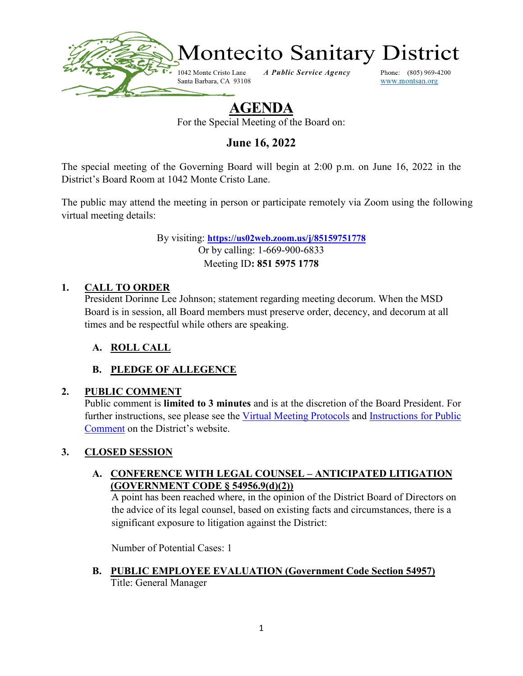

# **AGENDA**

For the Special Meeting of the Board on:

**June 16, 2022**

The special meeting of the Governing Board will begin at 2:00 p.m. on June 16, 2022 in the District's Board Room at 1042 Monte Cristo Lane.

The public may attend the meeting in person or participate remotely via Zoom using the following virtual meeting details:

> By visiting: **<https://us02web.zoom.us/j/85159751778>** Or by calling: 1-669-900-6833 Meeting ID**: 851 5975 1778**

### **1. CALL TO ORDER**

President Dorinne Lee Johnson; statement regarding meeting decorum. When the MSD Board is in session, all Board members must preserve order, decency, and decorum at all times and be respectful while others are speaking.

### **A. ROLL CALL**

# **B. PLEDGE OF ALLEGENCE**

### **2. PUBLIC COMMENT**

Public comment is **limited to 3 minutes** and is at the discretion of the Board President. For further instructions, see please see the [Virtual Meeting Protocols](https://www.montsan.org/files/626c431f0/Virtual+Meeting+Protocols.pdf) and Instructions for Public [Comment](https://www.montsan.org/files/6d1aebcdb/Instructions+for+Public+Comment.pdf) on the District's website.

### **3. CLOSED SESSION**

#### **A. CONFERENCE WITH LEGAL COUNSEL – ANTICIPATED LITIGATION (GOVERNMENT CODE § 54956.9(d)(2))**

A point has been reached where, in the opinion of the District Board of Directors on the advice of its legal counsel, based on existing facts and circumstances, there is a significant exposure to litigation against the District:

Number of Potential Cases: 1

**B. PUBLIC EMPLOYEE EVALUATION (Government Code Section 54957)** Title: General Manager